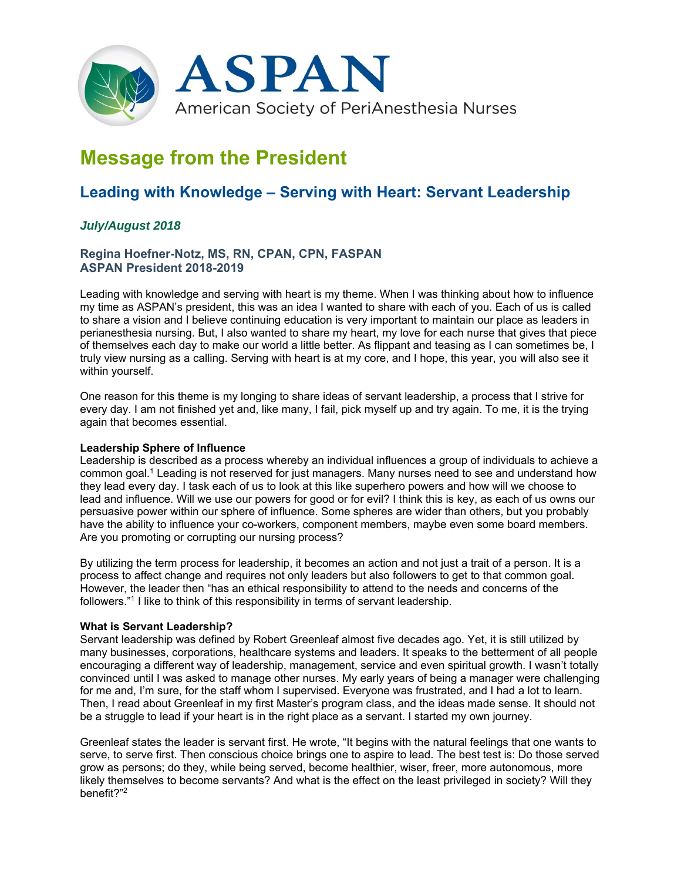

# **Message from the President**

# **Leading with Knowledge – Serving with Heart: Servant Leadership**

# *July/August 2018*

## **Regina Hoefner-Notz, MS, RN, CPAN, CPN, FASPAN ASPAN President 2018-2019**

Leading with knowledge and serving with heart is my theme. When I was thinking about how to influence my time as ASPAN's president, this was an idea I wanted to share with each of you. Each of us is called to share a vision and I believe continuing education is very important to maintain our place as leaders in perianesthesia nursing. But, I also wanted to share my heart, my love for each nurse that gives that piece of themselves each day to make our world a little better. As flippant and teasing as I can sometimes be, I truly view nursing as a calling. Serving with heart is at my core, and I hope, this year, you will also see it within yourself.

One reason for this theme is my longing to share ideas of servant leadership, a process that I strive for every day. I am not finished yet and, like many, I fail, pick myself up and try again. To me, it is the trying again that becomes essential.

#### **Leadership Sphere of Influence**

Leadership is described as a process whereby an individual influences a group of individuals to achieve a common goal.1 Leading is not reserved for just managers. Many nurses need to see and understand how they lead every day. I task each of us to look at this like superhero powers and how will we choose to lead and influence. Will we use our powers for good or for evil? I think this is key, as each of us owns our persuasive power within our sphere of influence. Some spheres are wider than others, but you probably have the ability to influence your co-workers, component members, maybe even some board members. Are you promoting or corrupting our nursing process?

By utilizing the term process for leadership, it becomes an action and not just a trait of a person. It is a process to affect change and requires not only leaders but also followers to get to that common goal. However, the leader then "has an ethical responsibility to attend to the needs and concerns of the followers."1 I like to think of this responsibility in terms of servant leadership.

#### **What is Servant Leadership?**

Servant leadership was defined by Robert Greenleaf almost five decades ago. Yet, it is still utilized by many businesses, corporations, healthcare systems and leaders. It speaks to the betterment of all people encouraging a different way of leadership, management, service and even spiritual growth. I wasn't totally convinced until I was asked to manage other nurses. My early years of being a manager were challenging for me and, I'm sure, for the staff whom I supervised. Everyone was frustrated, and I had a lot to learn. Then, I read about Greenleaf in my first Master's program class, and the ideas made sense. It should not be a struggle to lead if your heart is in the right place as a servant. I started my own journey.

Greenleaf states the leader is servant first. He wrote, "It begins with the natural feelings that one wants to serve, to serve first. Then conscious choice brings one to aspire to lead. The best test is: Do those served grow as persons; do they, while being served, become healthier, wiser, freer, more autonomous, more likely themselves to become servants? And what is the effect on the least privileged in society? Will they benefit?"2